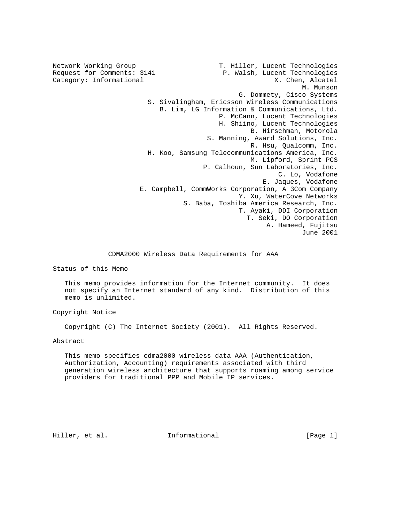Network Working Group T. Hiller, Lucent Technologies Request for Comments: 3141 P. Walsh, Lucent Technologies<br>Category: Informational M. Chen, Alcatel Category: Informational  $X.$  Chen, Alcatel  $X.$  M. Munson M. Munson G. Dommety, Cisco Systems S. Sivalingham, Ericsson Wireless Communications B. Lim, LG Information & Communications, Ltd. P. McCann, Lucent Technologies H. Shiino, Lucent Technologies B. Hirschman, Motorola S. Manning, Award Solutions, Inc. R. Hsu, Qualcomm, Inc. H. Koo, Samsung Telecommunications America, Inc. M. Lipford, Sprint PCS P. Calhoun, Sun Laboratories, Inc. C. Lo, Vodafone E. Jaques, Vodafone E. Campbell, CommWorks Corporation, A 3Com Company Y. Xu, WaterCove Networks S. Baba, Toshiba America Research, Inc. T. Ayaki, DDI Corporation T. Seki, DO Corporation A. Hameed, Fujitsu June 2001

CDMA2000 Wireless Data Requirements for AAA

Status of this Memo

 This memo provides information for the Internet community. It does not specify an Internet standard of any kind. Distribution of this memo is unlimited.

Copyright Notice

Copyright (C) The Internet Society (2001). All Rights Reserved.

Abstract

 This memo specifies cdma2000 wireless data AAA (Authentication, Authorization, Accounting) requirements associated with third generation wireless architecture that supports roaming among service providers for traditional PPP and Mobile IP services.

Hiller, et al. Informational [Page 1]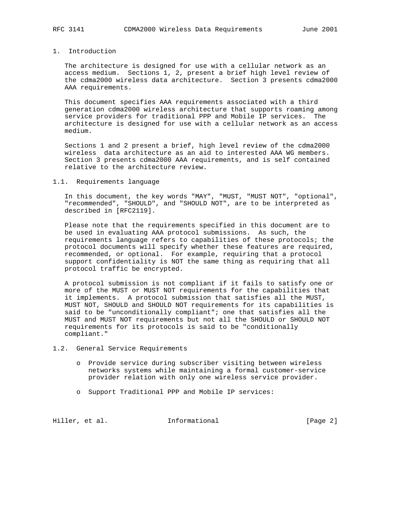## 1. Introduction

 The architecture is designed for use with a cellular network as an access medium. Sections 1, 2, present a brief high level review of the cdma2000 wireless data architecture. Section 3 presents cdma2000 AAA requirements.

 This document specifies AAA requirements associated with a third generation cdma2000 wireless architecture that supports roaming among service providers for traditional PPP and Mobile IP services. The architecture is designed for use with a cellular network as an access medium.

 Sections 1 and 2 present a brief, high level review of the cdma2000 wireless data architecture as an aid to interested AAA WG members. Section 3 presents cdma2000 AAA requirements, and is self contained relative to the architecture review.

#### 1.1. Requirements language

 In this document, the key words "MAY", "MUST, "MUST NOT", "optional", "recommended", "SHOULD", and "SHOULD NOT", are to be interpreted as described in [RFC2119].

 Please note that the requirements specified in this document are to be used in evaluating AAA protocol submissions. As such, the requirements language refers to capabilities of these protocols; the protocol documents will specify whether these features are required, recommended, or optional. For example, requiring that a protocol support confidentiality is NOT the same thing as requiring that all protocol traffic be encrypted.

 A protocol submission is not compliant if it fails to satisfy one or more of the MUST or MUST NOT requirements for the capabilities that it implements. A protocol submission that satisfies all the MUST, MUST NOT, SHOULD and SHOULD NOT requirements for its capabilities is said to be "unconditionally compliant"; one that satisfies all the MUST and MUST NOT requirements but not all the SHOULD or SHOULD NOT requirements for its protocols is said to be "conditionally compliant."

- 1.2. General Service Requirements
	- o Provide service during subscriber visiting between wireless networks systems while maintaining a formal customer-service provider relation with only one wireless service provider.
	- o Support Traditional PPP and Mobile IP services:

Hiller, et al. Informational [Page 2]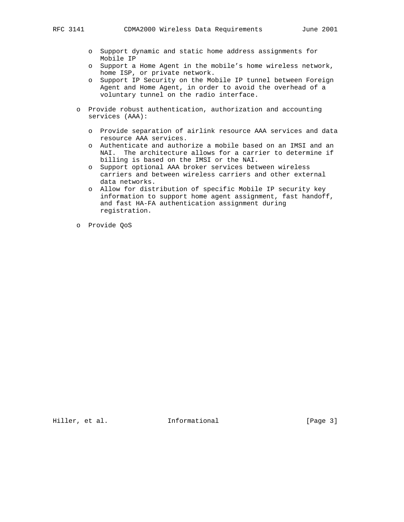- - o Support dynamic and static home address assignments for Mobile IP
	- o Support a Home Agent in the mobile's home wireless network, home ISP, or private network.
	- o Support IP Security on the Mobile IP tunnel between Foreign Agent and Home Agent, in order to avoid the overhead of a voluntary tunnel on the radio interface.
	- o Provide robust authentication, authorization and accounting services (AAA):
		- o Provide separation of airlink resource AAA services and data resource AAA services.
		- o Authenticate and authorize a mobile based on an IMSI and an NAI. The architecture allows for a carrier to determine if billing is based on the IMSI or the NAI.
		- o Support optional AAA broker services between wireless carriers and between wireless carriers and other external data networks.
		- o Allow for distribution of specific Mobile IP security key information to support home agent assignment, fast handoff, and fast HA-FA authentication assignment during registration.
	- o Provide QoS

Hiller, et al. 1nformational 1999 [Page 3]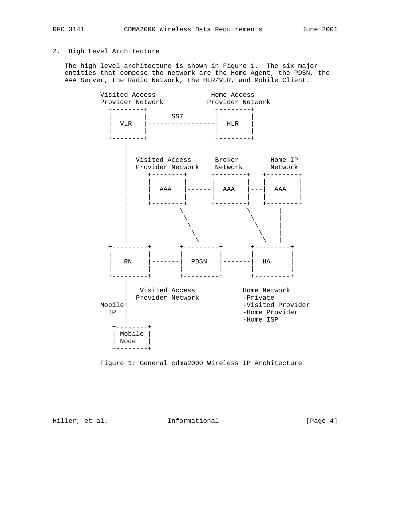# 2. High Level Architecture

 The high level architecture is shown in Figure 1. The six major entities that compose the network are the Home Agent, the PDSN, the AAA Server, the Radio Network, the HLR/VLR, and Mobile Client.





Hiller, et al. 1nformational 1999 [Page 4]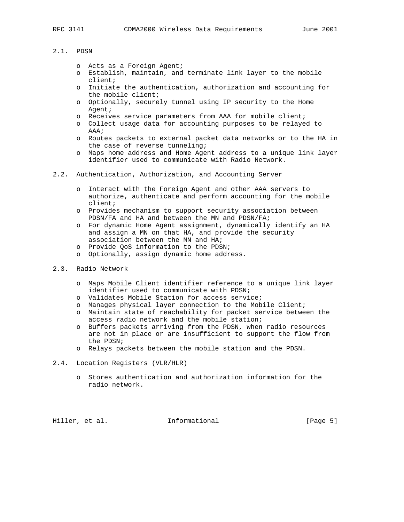### 2.1. PDSN

- o Acts as a Foreign Agent;
- o Establish, maintain, and terminate link layer to the mobile client;
- o Initiate the authentication, authorization and accounting for the mobile client;
- o Optionally, securely tunnel using IP security to the Home Agent;
- o Receives service parameters from AAA for mobile client;
- o Collect usage data for accounting purposes to be relayed to AAA;
- o Routes packets to external packet data networks or to the HA in the case of reverse tunneling;
- o Maps home address and Home Agent address to a unique link layer identifier used to communicate with Radio Network.
- 2.2. Authentication, Authorization, and Accounting Server
	- o Interact with the Foreign Agent and other AAA servers to authorize, authenticate and perform accounting for the mobile client;
	- o Provides mechanism to support security association between PDSN/FA and HA and between the MN and PDSN/FA;
	- o For dynamic Home Agent assignment, dynamically identify an HA and assign a MN on that HA, and provide the security association between the MN and HA;
	- o Provide QoS information to the PDSN;
	- o Optionally, assign dynamic home address.
- 2.3. Radio Network
	- o Maps Mobile Client identifier reference to a unique link layer identifier used to communicate with PDSN;
	- o Validates Mobile Station for access service;
	- o Manages physical layer connection to the Mobile Client;
	- o Maintain state of reachability for packet service between the access radio network and the mobile station;
	- o Buffers packets arriving from the PDSN, when radio resources are not in place or are insufficient to support the flow from the PDSN;
	- o Relays packets between the mobile station and the PDSN.
- 2.4. Location Registers (VLR/HLR)
	- o Stores authentication and authorization information for the radio network.

Hiller, et al. Informational [Page 5]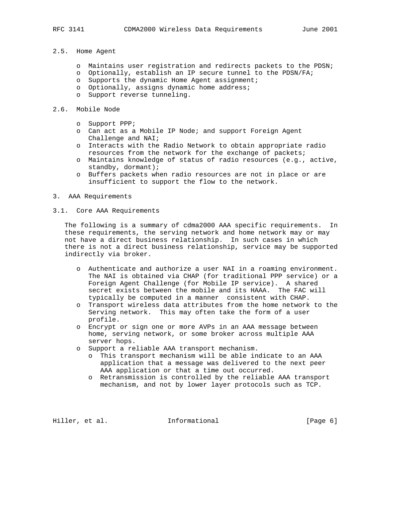### 2.5. Home Agent

- o Maintains user registration and redirects packets to the PDSN;
- o Optionally, establish an IP secure tunnel to the PDSN/FA;
- o Supports the dynamic Home Agent assignment;
- o Optionally, assigns dynamic home address;
- o Support reverse tunneling.

#### 2.6. Mobile Node

- o Support PPP;
- o Can act as a Mobile IP Node; and support Foreign Agent Challenge and NAI;
- o Interacts with the Radio Network to obtain appropriate radio resources from the network for the exchange of packets;
- o Maintains knowledge of status of radio resources (e.g., active, standby, dormant);
- o Buffers packets when radio resources are not in place or are insufficient to support the flow to the network.
- 3. AAA Requirements
- 3.1. Core AAA Requirements

 The following is a summary of cdma2000 AAA specific requirements. In these requirements, the serving network and home network may or may not have a direct business relationship. In such cases in which there is not a direct business relationship, service may be supported indirectly via broker.

- o Authenticate and authorize a user NAI in a roaming environment. The NAI is obtained via CHAP (for traditional PPP service) or a Foreign Agent Challenge (for Mobile IP service). A shared secret exists between the mobile and its HAAA. The FAC will typically be computed in a manner consistent with CHAP.
- o Transport wireless data attributes from the home network to the Serving network. This may often take the form of a user profile.
- o Encrypt or sign one or more AVPs in an AAA message between home, serving network, or some broker across multiple AAA server hops.
- o Support a reliable AAA transport mechanism.
	- o This transport mechanism will be able indicate to an AAA application that a message was delivered to the next peer AAA application or that a time out occurred.
	- o Retransmission is controlled by the reliable AAA transport mechanism, and not by lower layer protocols such as TCP.

Hiller, et al. **Informational** [Page 6]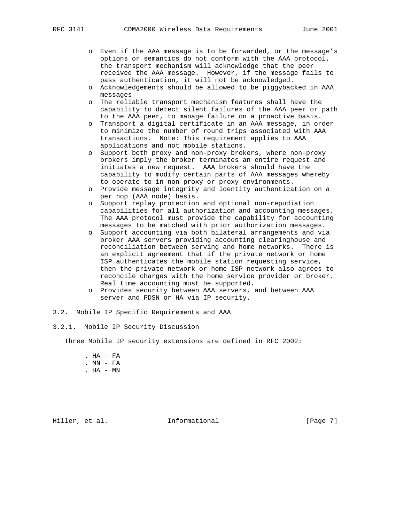- o Even if the AAA message is to be forwarded, or the message's options or semantics do not conform with the AAA protocol, the transport mechanism will acknowledge that the peer received the AAA message. However, if the message fails to pass authentication, it will not be acknowledged.
- o Acknowledgements should be allowed to be piggybacked in AAA messages
- o The reliable transport mechanism features shall have the capability to detect silent failures of the AAA peer or path to the AAA peer, to manage failure on a proactive basis.
- o Transport a digital certificate in an AAA message, in order to minimize the number of round trips associated with AAA transactions. Note: This requirement applies to AAA applications and not mobile stations.
- o Support both proxy and non-proxy brokers, where non-proxy brokers imply the broker terminates an entire request and initiates a new request. AAA brokers should have the capability to modify certain parts of AAA messages whereby to operate to in non-proxy or proxy environments.
- o Provide message integrity and identity authentication on a per hop (AAA node) basis.
- o Support replay protection and optional non-repudiation capabilities for all authorization and accounting messages. The AAA protocol must provide the capability for accounting messages to be matched with prior authorization messages.
- o Support accounting via both bilateral arrangements and via broker AAA servers providing accounting clearinghouse and reconciliation between serving and home networks. There is an explicit agreement that if the private network or home ISP authenticates the mobile station requesting service, then the private network or home ISP network also agrees to reconcile charges with the home service provider or broker. Real time accounting must be supported.
- o Provides security between AAA servers, and between AAA server and PDSN or HA via IP security.
- 3.2. Mobile IP Specific Requirements and AAA
- 3.2.1. Mobile IP Security Discussion

Three Mobile IP security extensions are defined in RFC 2002:

 . HA - FA . MN - FA . HA - MN

Hiller, et al. **Informational** [Page 7]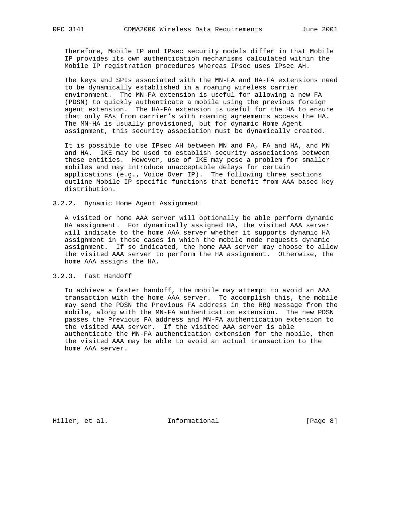Therefore, Mobile IP and IPsec security models differ in that Mobile IP provides its own authentication mechanisms calculated within the Mobile IP registration procedures whereas IPsec uses IPsec AH.

 The keys and SPIs associated with the MN-FA and HA-FA extensions need to be dynamically established in a roaming wireless carrier environment. The MN-FA extension is useful for allowing a new FA (PDSN) to quickly authenticate a mobile using the previous foreign agent extension. The HA-FA extension is useful for the HA to ensure that only FAs from carrier's with roaming agreements access the HA. The MN-HA is usually provisioned, but for dynamic Home Agent assignment, this security association must be dynamically created.

 It is possible to use IPsec AH between MN and FA, FA and HA, and MN and HA. IKE may be used to establish security associations between these entities. However, use of IKE may pose a problem for smaller mobiles and may introduce unacceptable delays for certain applications (e.g., Voice Over IP). The following three sections outline Mobile IP specific functions that benefit from AAA based key distribution.

#### 3.2.2. Dynamic Home Agent Assignment

 A visited or home AAA server will optionally be able perform dynamic HA assignment. For dynamically assigned HA, the visited AAA server will indicate to the home AAA server whether it supports dynamic HA assignment in those cases in which the mobile node requests dynamic assignment. If so indicated, the home AAA server may choose to allow the visited AAA server to perform the HA assignment. Otherwise, the home AAA assigns the HA.

### 3.2.3. Fast Handoff

 To achieve a faster handoff, the mobile may attempt to avoid an AAA transaction with the home AAA server. To accomplish this, the mobile may send the PDSN the Previous FA address in the RRQ message from the mobile, along with the MN-FA authentication extension. The new PDSN passes the Previous FA address and MN-FA authentication extension to the visited AAA server. If the visited AAA server is able authenticate the MN-FA authentication extension for the mobile, then the visited AAA may be able to avoid an actual transaction to the home AAA server.

Hiller, et al. 1nformational 1999 [Page 8]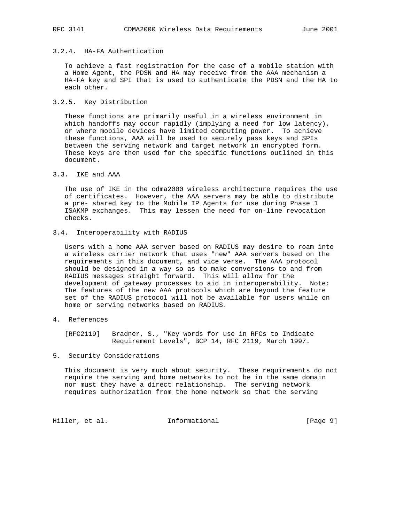## 3.2.4. HA-FA Authentication

 To achieve a fast registration for the case of a mobile station with a Home Agent, the PDSN and HA may receive from the AAA mechanism a HA-FA key and SPI that is used to authenticate the PDSN and the HA to each other.

#### 3.2.5. Key Distribution

 These functions are primarily useful in a wireless environment in which handoffs may occur rapidly (implying a need for low latency), or where mobile devices have limited computing power. To achieve these functions, AAA will be used to securely pass keys and SPIs between the serving network and target network in encrypted form. These keys are then used for the specific functions outlined in this document.

### 3.3. IKE and AAA

 The use of IKE in the cdma2000 wireless architecture requires the use of certificates. However, the AAA servers may be able to distribute a pre- shared key to the Mobile IP Agents for use during Phase 1 ISAKMP exchanges. This may lessen the need for on-line revocation checks.

# 3.4. Interoperability with RADIUS

 Users with a home AAA server based on RADIUS may desire to roam into a wireless carrier network that uses "new" AAA servers based on the requirements in this document, and vice verse. The AAA protocol should be designed in a way so as to make conversions to and from RADIUS messages straight forward. This will allow for the development of gateway processes to aid in interoperability. Note: The features of the new AAA protocols which are beyond the feature set of the RADIUS protocol will not be available for users while on home or serving networks based on RADIUS.

4. References

 [RFC2119] Bradner, S., "Key words for use in RFCs to Indicate Requirement Levels", BCP 14, RFC 2119, March 1997.

## 5. Security Considerations

 This document is very much about security. These requirements do not require the serving and home networks to not be in the same domain nor must they have a direct relationship. The serving network requires authorization from the home network so that the serving

Hiller, et al. 1nformational 1999 [Page 9]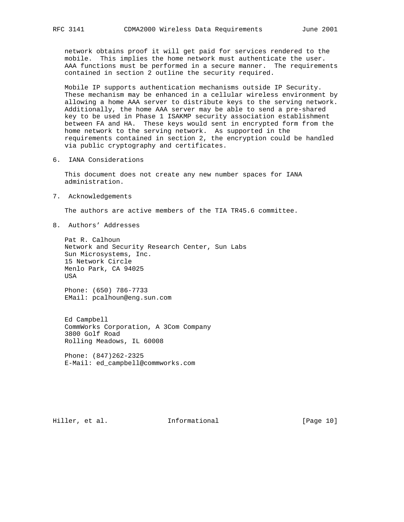network obtains proof it will get paid for services rendered to the mobile. This implies the home network must authenticate the user. AAA functions must be performed in a secure manner. The requirements contained in section 2 outline the security required.

 Mobile IP supports authentication mechanisms outside IP Security. These mechanism may be enhanced in a cellular wireless environment by allowing a home AAA server to distribute keys to the serving network. Additionally, the home AAA server may be able to send a pre-shared key to be used in Phase 1 ISAKMP security association establishment between FA and HA. These keys would sent in encrypted form from the home network to the serving network. As supported in the requirements contained in section 2, the encryption could be handled via public cryptography and certificates.

6. IANA Considerations

 This document does not create any new number spaces for IANA administration.

7. Acknowledgements

The authors are active members of the TIA TR45.6 committee.

8. Authors' Addresses

 Pat R. Calhoun Network and Security Research Center, Sun Labs Sun Microsystems, Inc. 15 Network Circle Menlo Park, CA 94025 USA

 Phone: (650) 786-7733 EMail: pcalhoun@eng.sun.com

 Ed Campbell CommWorks Corporation, A 3Com Company 3800 Golf Road Rolling Meadows, IL 60008

 Phone: (847)262-2325 E-Mail: ed\_campbell@commworks.com

Hiller, et al. 1nformational [Page 10]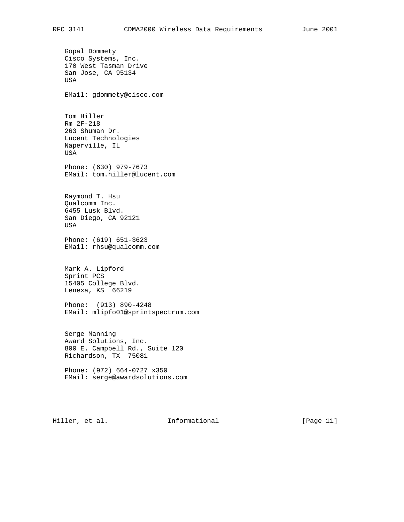Gopal Dommety Cisco Systems, Inc. 170 West Tasman Drive San Jose, CA 95134 USA EMail: gdommety@cisco.com Tom Hiller Rm 2F-218 263 Shuman Dr. Lucent Technologies Naperville, IL USA Phone: (630) 979-7673 EMail: tom.hiller@lucent.com Raymond T. Hsu Qualcomm Inc. 6455 Lusk Blvd. San Diego, CA 92121 USA Phone: (619) 651-3623 EMail: rhsu@qualcomm.com Mark A. Lipford Sprint PCS 15405 College Blvd. Lenexa, KS 66219 Phone: (913) 890-4248 EMail: mlipfo01@sprintspectrum.com Serge Manning Award Solutions, Inc. 800 E. Campbell Rd., Suite 120 Richardson, TX 75081 Phone: (972) 664-0727 x350 EMail: serge@awardsolutions.com

Hiller, et al. 1nformational [Page 11]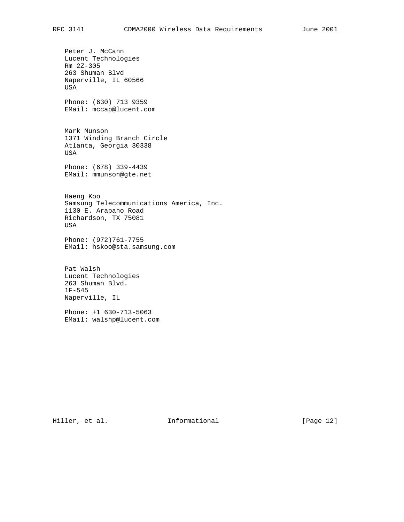Peter J. McCann Lucent Technologies Rm 2Z-305 263 Shuman Blvd Naperville, IL 60566 USA Phone: (630) 713 9359 EMail: mccap@lucent.com Mark Munson 1371 Winding Branch Circle Atlanta, Georgia 30338 USA Phone: (678) 339-4439 EMail: mmunson@gte.net Haeng Koo Samsung Telecommunications America, Inc. 1130 E. Arapaho Road Richardson, TX 75081 USA Phone: (972)761-7755 EMail: hskoo@sta.samsung.com Pat Walsh Lucent Technologies 263 Shuman Blvd. 1F-545

 Phone: +1 630-713-5063 EMail: walshp@lucent.com

Naperville, IL

Hiller, et al. 1nformational [Page 12]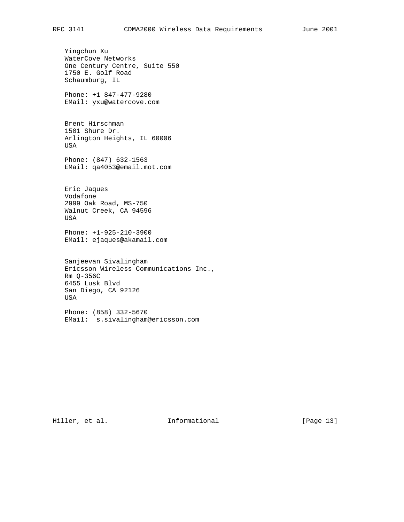Yingchun Xu WaterCove Networks One Century Centre, Suite 550 1750 E. Golf Road Schaumburg, IL Phone: +1 847-477-9280 EMail: yxu@watercove.com Brent Hirschman 1501 Shure Dr. Arlington Heights, IL 60006 USA Phone: (847) 632-1563 EMail: qa4053@email.mot.com Eric Jaques Vodafone 2999 Oak Road, MS-750 Walnut Creek, CA 94596

 Phone: +1-925-210-3900 EMail: ejaques@akamail.com

 Sanjeevan Sivalingham Ericsson Wireless Communications Inc., Rm Q-356C 6455 Lusk Blvd San Diego, CA 92126 USA

 Phone: (858) 332-5670 EMail: s.sivalingham@ericsson.com

Hiller, et al. 1nformational [Page 13]

USA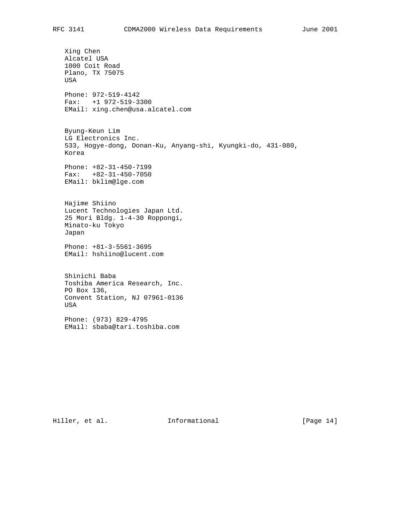Xing Chen Alcatel USA 1000 Coit Road Plano, TX 75075 USA Phone: 972-519-4142 Fax: +1 972-519-3300 EMail: xing.chen@usa.alcatel.com Byung-Keun Lim LG Electronics Inc. 533, Hogye-dong, Donan-Ku, Anyang-shi, Kyungki-do, 431-080, Korea Phone: +82-31-450-7199 Fax: +82-31-450-7050 EMail: bklim@lge.com Hajime Shiino Lucent Technologies Japan Ltd. 25 Mori Bldg. 1-4-30 Roppongi, Minato-ku Tokyo Japan Phone: +81-3-5561-3695 EMail: hshiino@lucent.com Shinichi Baba Toshiba America Research, Inc. PO Box 136, Convent Station, NJ 07961-0136 USA Phone: (973) 829-4795 EMail: sbaba@tari.toshiba.com

Hiller, et al. 1nformational [Page 14]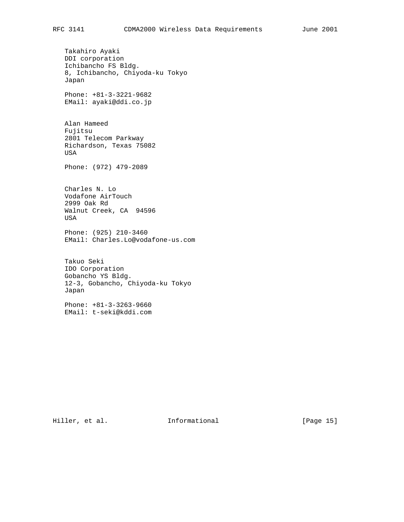Takahiro Ayaki DDI corporation Ichibancho FS Bldg. 8, Ichibancho, Chiyoda-ku Tokyo Japan Phone: +81-3-3221-9682 EMail: ayaki@ddi.co.jp Alan Hameed Fujitsu 2801 Telecom Parkway Richardson, Texas 75082 USA Phone: (972) 479-2089 Charles N. Lo Vodafone AirTouch 2999 Oak Rd Walnut Creek, CA 94596 USA Phone: (925) 210-3460 EMail: Charles.Lo@vodafone-us.com Takuo Seki IDO Corporation Gobancho YS Bldg. 12-3, Gobancho, Chiyoda-ku Tokyo Japan Phone: +81-3-3263-9660 EMail: t-seki@kddi.com

Hiller, et al. 1nformational [Page 15]